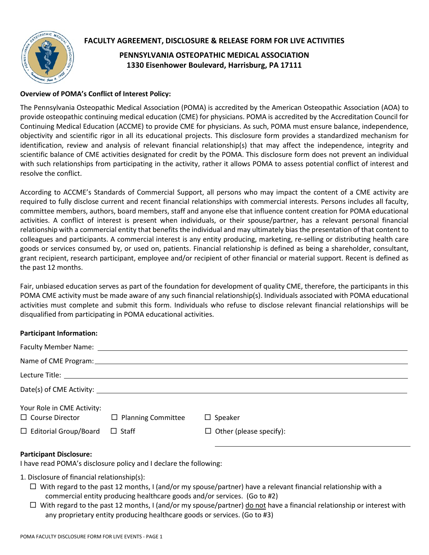



## **PENNSYLVANIA OSTEOPATHIC MEDICAL ASSOCIATION 1330 Eisenhower Boulevard, Harrisburg, PA 17111**

## **Overview of POMA's Conflict of Interest Policy:**

The Pennsylvania Osteopathic Medical Association (POMA) is accredited by the American Osteopathic Association (AOA) to provide osteopathic continuing medical education (CME) for physicians. POMA is accredited by the Accreditation Council for Continuing Medical Education (ACCME) to provide CME for physicians. As such, POMA must ensure balance, independence, objectivity and scientific rigor in all its educational projects. This disclosure form provides a standardized mechanism for identification, review and analysis of relevant financial relationship(s) that may affect the independence, integrity and scientific balance of CME activities designated for credit by the POMA. This disclosure form does not prevent an individual with such relationships from participating in the activity, rather it allows POMA to assess potential conflict of interest and resolve the conflict.

According to ACCME's Standards of Commercial Support, all persons who may impact the content of a CME activity are required to fully disclose current and recent financial relationships with commercial interests. Persons includes all faculty, committee members, authors, board members, staff and anyone else that influence content creation for POMA educational activities. A conflict of interest is present when individuals, or their spouse/partner, has a relevant personal financial relationship with a commercial entity that benefits the individual and may ultimately bias the presentation of that content to colleagues and participants. A commercial interest is any entity producing, marketing, re-selling or distributing health care goods or services consumed by, or used on, patients. Financial relationship is defined as being a shareholder, consultant, grant recipient, research participant, employee and/or recipient of other financial or material support. Recent is defined as the past 12 months.

Fair, unbiased education serves as part of the foundation for development of quality CME, therefore, the participants in this POMA CME activity must be made aware of any such financial relationship(s). Individuals associated with POMA educational activities must complete and submit this form. Individuals who refuse to disclose relevant financial relationships will be disqualified from participating in POMA educational activities.

## **Participant Information:**

| Your Role in CME Activity:<br>$\Box$ Course Director | $\Box$ Planning Committee | $\Box$ Speaker                 |
|------------------------------------------------------|---------------------------|--------------------------------|
| $\Box$ Editorial Group/Board                         | $\Box$ Staff              | $\Box$ Other (please specify): |
|                                                      |                           |                                |

## **Participant Disclosure:**

I have read POMA's disclosure policy and I declare the following:

- 1. Disclosure of financial relationship(s):
	- $\Box$  With regard to the past 12 months, I (and/or my spouse/partner) have a relevant financial relationship with a commercial entity producing healthcare goods and/or services. (Go to #2)
	- $\Box$  With regard to the past 12 months, I (and/or my spouse/partner) do not have a financial relationship or interest with any proprietary entity producing healthcare goods or services. (Go to #3)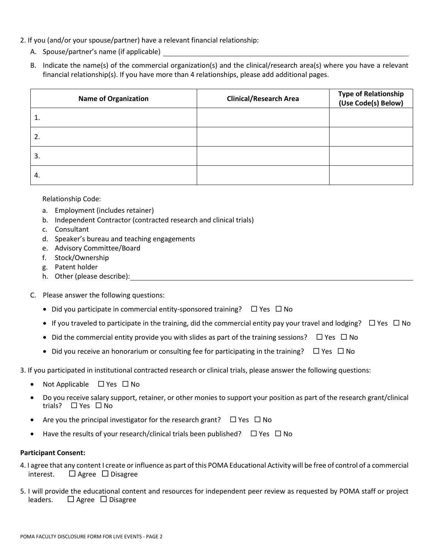- 2. If you (and/or your spouse/partner) have a relevant financial relationship:
	- A. Spouse/partner's name (if applicable)
	- B. Indicate the name(s) of the commercial organization(s) and the clinical/research area(s) where you have a relevant financial relationship(s). If you have more than 4 relationships, please add additional pages.

| <b>Name of Organization</b> | <b>Clinical/Research Area</b> | Type of Relationship<br>(Use Code(s) Below) |
|-----------------------------|-------------------------------|---------------------------------------------|
| ı.                          |                               |                                             |
| 2.                          |                               |                                             |
| 3.                          |                               |                                             |
| 4.                          |                               |                                             |

#### Relationship Code:

- a. Employment (includes retainer)
- b. Independent Contractor (contracted research and clinical trials)
- c. Consultant
- d. Speaker's bureau and teaching engagements
- e. Advisory Committee/Board
- f. Stock/Ownership
- g. Patent holder
- h. Other (please describe): Click or tap here to enter the text.
- C. Please answer the following questions:
	- Did you participate in commercial entity-sponsored training?  $\square$  Yes  $\square$  No
	- If you traveled to participate in the training, did the commercial entity pay your travel and lodging?  $\Box$  Yes  $\Box$  No
	- Did the commercial entity provide you with slides as part of the training sessions?  $\Box$  Yes  $\Box$  No
	- Did you receive an honorarium or consulting fee for participating in the training?  $\Box$  Yes  $\Box$  No
- 3. If you participated in institutional contracted research or clinical trials, please answer the following questions:
	- Not Applicable  $\Box$  Yes  $\Box$  No
	- Do you receive salary support, retainer, or other monies to support your position as part of the research grant/clinical trials?  $\Box$  Yes  $\Box$  No
	- Are you the principal investigator for the research grant?  $\Box$  Yes  $\Box$  No
	- Have the results of your research/clinical trials been published?  $\Box$  Yes  $\Box$  No

### **Participant Consent:**

- 4. I agree that any content I create or influence as part of this POMA Educational Activity will be free of control of a commercial interest.  $\Box$  Agree  $\Box$  Disagree
- 5. I will provide the educational content and resources for independent peer review as requested by POMA staff or project leaders.  $\Box$  Agree  $\Box$  Disagree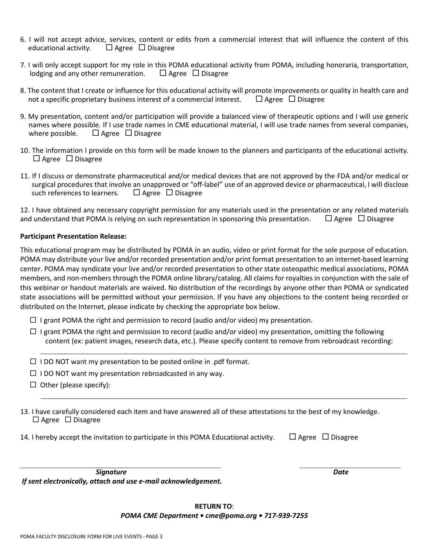- 6. I will not accept advice, services, content or edits from a commercial interest that will influence the content of this educational activity.  $\Box$  Agree  $\Box$  Disagree
- 7. I will only accept support for my role in this POMA educational activity from POMA, including honoraria, transportation, lodging and any other remuneration.  $\Box$  Agree  $\Box$  Disagree
- 8. The content that I create or influence for this educational activity will promote improvements or quality in health care and not a specific proprietary business interest of a commercial interest.  $\Box$  Agree  $\Box$  Disagree
- 9. My presentation, content and/or participation will provide a balanced view of therapeutic options and I will use generic names where possible. If I use trade names in CME educational material, I will use trade names from several companies, where possible.  $\Box$  Agree  $\Box$  Disagree
- 10. The information I provide on this form will be made known to the planners and participants of the educational activity.  $\Box$  Agree  $\Box$  Disagree
- 11. If I discuss or demonstrate pharmaceutical and/or medical devices that are not approved by the FDA and/or medical or surgical procedures that involve an unapproved or "off-label" use of an approved device or pharmaceutical, I will disclose such references to learners.  $\Box$  Agree  $\Box$  Disagree

12. I have obtained any necessary copyright permission for any materials used in the presentation or any related materials and understand that POMA is relying on such representation in sponsoring this presentation.  $\Box$  Agree  $\Box$  Disagree

#### **Participant Presentation Release:**

This educational program may be distributed by POMA in an audio, video or print format for the sole purpose of education. POMA may distribute your live and/or recorded presentation and/or print format presentation to an internet-based learning center. POMA may syndicate your live and/or recorded presentation to other state osteopathic medical associations, POMA members, and non-members through the POMA online library/catalog. All claims for royalties in conjunction with the sale of this webinar or handout materials are waived. No distribution of the recordings by anyone other than POMA or syndicated state associations will be permitted without your permission. If you have any objections to the content being recorded or distributed on the Internet, please indicate by checking the appropriate box below.

- $\Box$  I grant POMA the right and permission to record (audio and/or video) my presentation.
- $\Box$  I grant POMA the right and permission to record (audio and/or video) my presentation, omitting the following content (ex: patient images, research data, etc.). Please specify content to remove from rebroadcast recording:
- $\Box$  I DO NOT want my presentation to be posted online in .pdf format.
- $\Box$  I DO NOT want my presentation rebroadcasted in any way.
- $\Box$  Other (please specify):

Click or tap here to en

Click or tap here to enter text.

- 13. I have carefully considered each item and have answered all of these attestations to the best of my knowledge.  $\Box$  Agree  $\Box$  Disagree
- 14. I hereby accept the invitation to participate in this POMA Educational activity.  $\Box$  Agree  $\Box$  Disagree

**Signature Date** *If sent electronically, attach and use e-mail acknowledgement.*

### **RETURN TO**: *POMA CME Department • cme@poma.org • 717-939-7255*